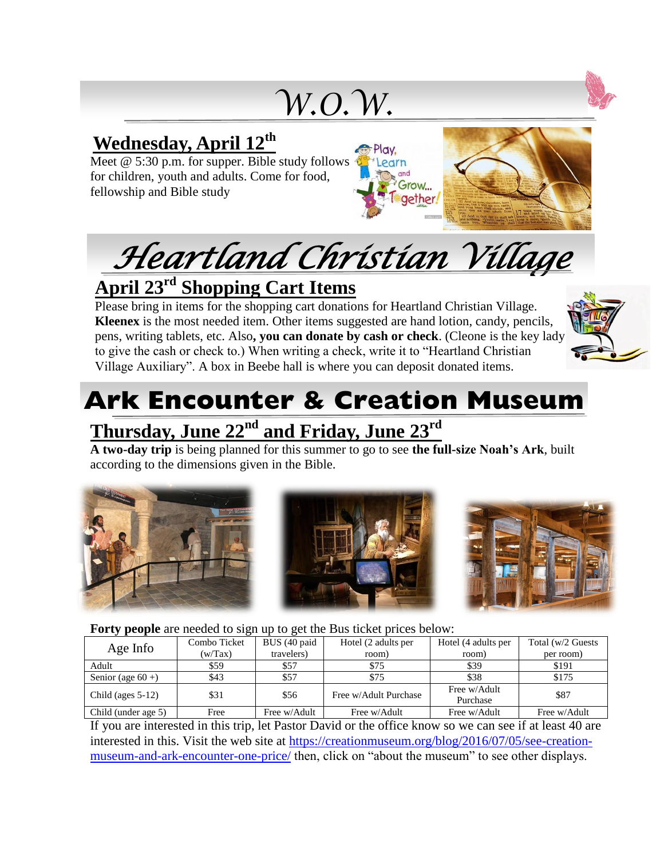*W.O.W.*

### **Wednesday, April 12th**

Meet @ 5:30 p.m. for supper. Bible study follows for children, youth and adults. Come for food, fellowship and Bible study





## **April 23rd Shopping Cart Items**

Please bring in items for the shopping cart donations for Heartland Christian Village. **Kleenex** is the most needed item. Other items suggested are hand lotion, candy, pencils, pens, writing tablets, etc. Also**, you can donate by cash or check**. (Cleone is the key lady to give the cash or check to.) When writing a check, write it to "Heartland Christian Village Auxiliary". A box in Beebe hall is where you can deposit donated items.



# **Ark Encounter & Creation Museum**

## **Thursday, June 22nd and Friday, June 23rd**

**A two-day trip** is being planned for this summer to go to see **the full-size Noah's Ark**, built according to the dimensions given in the Bible.



#### **Forty people** are needed to sign up to get the Bus ticket prices below:

| .                    |              |              |                       |                          |                    |
|----------------------|--------------|--------------|-----------------------|--------------------------|--------------------|
| Age Info             | Combo Ticket | BUS (40 paid | Hotel (2 adults per   | Hotel (4 adults per      | Total (w/2 Guests) |
|                      | (w/Tax)      | travelers)   | room)                 | room)                    | per room)          |
| Adult                | \$59         | \$57         | \$75                  | \$39                     | \$191              |
| Senior (age $60 +$ ) | \$43         | \$57         | \$75                  | \$38                     | \$175              |
| Child (ages $5-12$ ) | \$31         | \$56         | Free w/Adult Purchase | Free w/Adult<br>Purchase | \$87               |
| Child (under age 5)  | Free         | Free w/Adult | Free w/Adult          | Free w/Adult             | Free w/Adult       |

If you are interested in this trip, let Pastor David or the office know so we can see if at least 40 are interested in this. Visit the web site at [https://creationmuseum.org/blog/2016/07/05/see-creation](https://creationmuseum.org/blog/2016/07/05/see-creation-museum-and-ark-encounter-one-price/)[museum-and-ark-encounter-one-price/](https://creationmuseum.org/blog/2016/07/05/see-creation-museum-and-ark-encounter-one-price/) then, click on "about the museum" to see other displays.